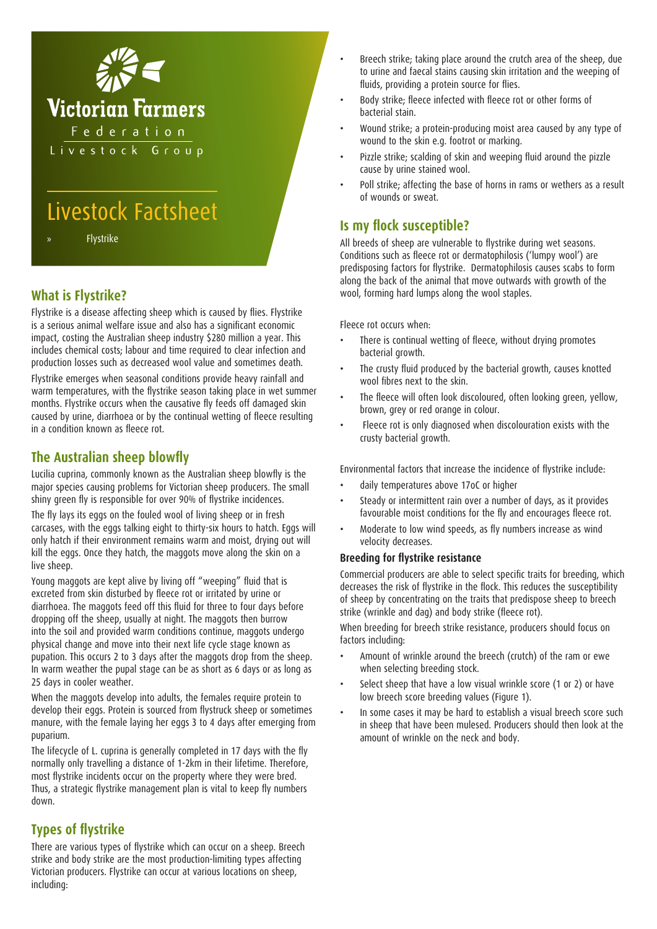

# Livestock Factsheet

**Flystrike** 

# **What is Flystrike?**

Flystrike is a disease affecting sheep which is caused by flies. Flystrike is a serious animal welfare issue and also has a significant economic impact, costing the Australian sheep industry \$280 million a year. This includes chemical costs; labour and time required to clear infection and production losses such as decreased wool value and sometimes death.

Flystrike emerges when seasonal conditions provide heavy rainfall and warm temperatures, with the flystrike season taking place in wet summer months. Flystrike occurs when the causative fly feeds off damaged skin caused by urine, diarrhoea or by the continual wetting of fleece resulting in a condition known as fleece rot.

## **The Australian sheep blowfly**

Lucilia cuprina, commonly known as the Australian sheep blowfly is the major species causing problems for Victorian sheep producers. The small shiny green fly is responsible for over 90% of flystrike incidences.

The fly lays its eggs on the fouled wool of living sheep or in fresh carcases, with the eggs talking eight to thirty-six hours to hatch. Eggs will only hatch if their environment remains warm and moist, drying out will kill the eggs. Once they hatch, the maggots move along the skin on a live sheep.

Young maggots are kept alive by living off "weeping" fluid that is excreted from skin disturbed by fleece rot or irritated by urine or diarrhoea. The maggots feed off this fluid for three to four days before dropping off the sheep, usually at night. The maggots then burrow into the soil and provided warm conditions continue, maggots undergo physical change and move into their next life cycle stage known as pupation. This occurs 2 to 3 days after the maggots drop from the sheep. In warm weather the pupal stage can be as short as 6 days or as long as 25 days in cooler weather.

When the maggots develop into adults, the females require protein to develop their eggs. Protein is sourced from flystruck sheep or sometimes manure, with the female laying her eggs 3 to 4 days after emerging from puparium.

The lifecycle of L. cuprina is generally completed in 17 days with the fly normally only travelling a distance of 1-2km in their lifetime. Therefore, most flystrike incidents occur on the property where they were bred. Thus, a strategic flystrike management plan is vital to keep fly numbers down.

## **Types of flystrike**

There are various types of flystrike which can occur on a sheep. Breech strike and body strike are the most production-limiting types affecting Victorian producers. Flystrike can occur at various locations on sheep, including:

- Breech strike; taking place around the crutch area of the sheep, due to urine and faecal stains causing skin irritation and the weeping of fluids, providing a protein source for flies.
- Body strike; fleece infected with fleece rot or other forms of bacterial stain.
- Wound strike; a protein-producing moist area caused by any type of wound to the skin e.g. footrot or marking.
- Pizzle strike; scalding of skin and weeping fluid around the pizzle cause by urine stained wool.
- Poll strike; affecting the base of horns in rams or wethers as a result of wounds or sweat.

## **Is my flock susceptible?**

All breeds of sheep are vulnerable to flystrike during wet seasons. Conditions such as fleece rot or dermatophilosis ('lumpy wool') are predisposing factors for flystrike. Dermatophilosis causes scabs to form along the back of the animal that move outwards with growth of the wool, forming hard lumps along the wool staples.

Fleece rot occurs when:

- There is continual wetting of fleece, without drying promotes bacterial growth.
- The crusty fluid produced by the bacterial growth, causes knotted wool fibres next to the skin.
- The fleece will often look discoloured, often looking green, yellow, brown, grey or red orange in colour.
- Fleece rot is only diagnosed when discolouration exists with the crusty bacterial growth.

Environmental factors that increase the incidence of flystrike include:

- daily temperatures above 17oC or higher
- Steady or intermittent rain over a number of days, as it provides favourable moist conditions for the fly and encourages fleece rot.
- Moderate to low wind speeds, as fly numbers increase as wind velocity decreases.

#### **Breeding for flystrike resistance**

Commercial producers are able to select specific traits for breeding, which decreases the risk of flystrike in the flock. This reduces the susceptibility of sheep by concentrating on the traits that predispose sheep to breech strike (wrinkle and dag) and body strike (fleece rot).

When breeding for breech strike resistance, producers should focus on factors including:

- Amount of wrinkle around the breech (crutch) of the ram or ewe when selecting breeding stock.
- Select sheep that have a low visual wrinkle score (1 or 2) or have low breech score breeding values (Figure 1).
- In some cases it may be hard to establish a visual breech score such in sheep that have been mulesed. Producers should then look at the amount of wrinkle on the neck and body.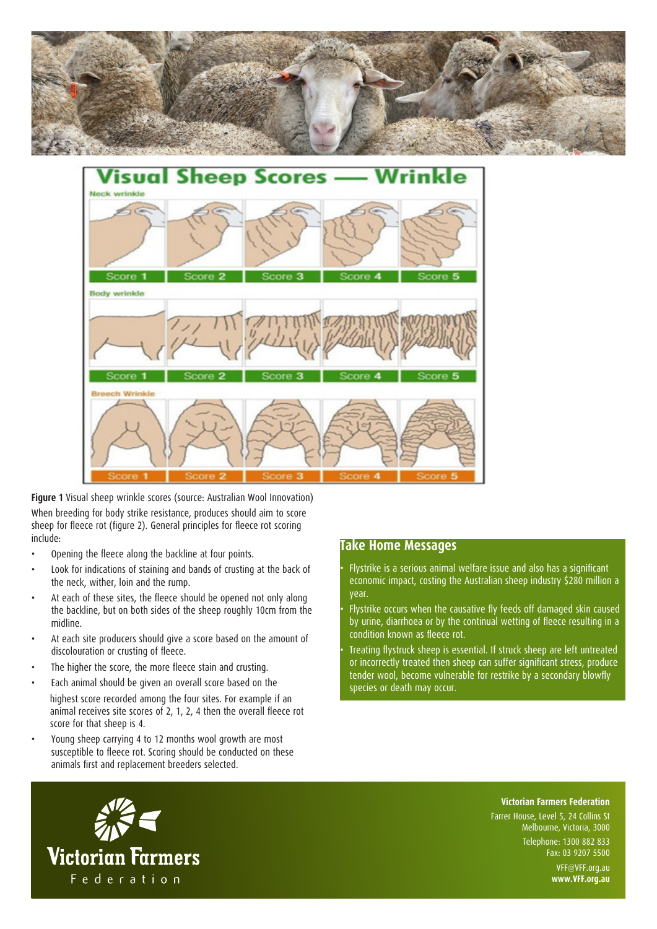



**Figure 1** Visual sheep wrinkle scores (source: Australian Wool Innovation) When breeding for body strike resistance, produces should aim to score sheep for fleece rot (figure 2). General principles for fleece rot scoring include:

- Opening the fleece along the backline at four points.
- Look for indications of staining and bands of crusting at the back of the neck, wither, loin and the rump.
- At each of these sites, the fleece should be opened not only along the backline, but on both sides of the sheep roughly 10cm from the midline.
- At each site producers should give a score based on the amount of discolouration or crusting of fleece.
- The higher the score, the more fleece stain and crusting.
- Each animal should be given an overall score based on the highest score recorded among the four sites. For example if an animal receives site scores of 2, 1, 2, 4 then the overall fleece rot score for that sheep is 4.
- Young sheep carrying 4 to 12 months wool growth are most susceptible to fleece rot. Scoring should be conducted on these animals first and replacement breeders selected.

## **Take Home Messages**

- Flystrike is a serious animal welfare issue and also has a significant economic impact, costing the Australian sheep industry \$280 million a year.
- Flystrike occurs when the causative fly feeds off damaged skin caused by urine, diarrhoea or by the continual wetting of fleece resulting in a condition known as fleece rot.
- Treating flystruck sheep is essential. If struck sheep are left untreated or incorrectly treated then sheep can suffer significant stress, produce tender wool, become vulnerable for restrike by a secondary blowfly species or death may occur.



**Victorian Farmers Federation**

Farrer House, Level 5, 24 Collins St Melbourne, Victoria, 3000 Telephone: 1300 882 833

Fax: 03 9207 5500 VFF@VFF.org.au

**www.VFF.org.au**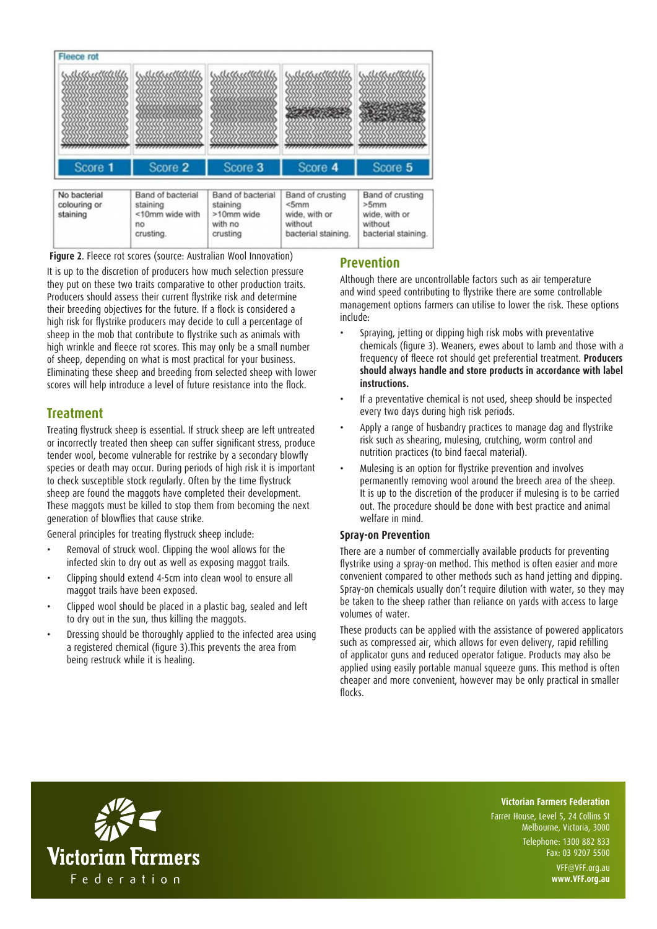

**Figure 2**. Fleece rot scores (source: Australian Wool Innovation)

It is up to the discretion of producers how much selection pressure they put on these two traits comparative to other production traits. Producers should assess their current flystrike risk and determine their breeding objectives for the future. If a flock is considered a high risk for flystrike producers may decide to cull a percentage of sheep in the mob that contribute to flystrike such as animals with high wrinkle and fleece rot scores. This may only be a small number of sheep, depending on what is most practical for your business. Eliminating these sheep and breeding from selected sheep with lower scores will help introduce a level of future resistance into the flock.

## **Treatment**

Treating flystruck sheep is essential. If struck sheep are left untreated or incorrectly treated then sheep can suffer significant stress, produce tender wool, become vulnerable for restrike by a secondary blowfly species or death may occur. During periods of high risk it is important to check susceptible stock regularly. Often by the time flystruck sheep are found the maggots have completed their development. These maggots must be killed to stop them from becoming the next generation of blowflies that cause strike.

General principles for treating flystruck sheep include:

- Removal of struck wool. Clipping the wool allows for the infected skin to dry out as well as exposing maggot trails.
- Clipping should extend 4-5cm into clean wool to ensure all maggot trails have been exposed.
- Clipped wool should be placed in a plastic bag, sealed and left to dry out in the sun, thus killing the maggots.
- Dressing should be thoroughly applied to the infected area using a registered chemical (figure 3).This prevents the area from being restruck while it is healing.

## **Prevention**

Although there are uncontrollable factors such as air temperature and wind speed contributing to flystrike there are some controllable management options farmers can utilise to lower the risk. These options include:

- Spraying, jetting or dipping high risk mobs with preventative chemicals (figure 3). Weaners, ewes about to lamb and those with a frequency of fleece rot should get preferential treatment. **Producers should always handle and store products in accordance with label instructions.**
- If a preventative chemical is not used, sheep should be inspected every two days during high risk periods.
- Apply a range of husbandry practices to manage dag and flystrike risk such as shearing, mulesing, crutching, worm control and nutrition practices (to bind faecal material).
- Mulesing is an option for flystrike prevention and involves permanently removing wool around the breech area of the sheep. It is up to the discretion of the producer if mulesing is to be carried out. The procedure should be done with best practice and animal welfare in mind.

## **Spray-on Prevention**

There are a number of commercially available products for preventing flystrike using a spray-on method. This method is often easier and more convenient compared to other methods such as hand jetting and dipping. Spray-on chemicals usually don't require dilution with water, so they may be taken to the sheep rather than reliance on yards with access to large volumes of water.

These products can be applied with the assistance of powered applicators such as compressed air, which allows for even delivery, rapid refilling of applicator guns and reduced operator fatigue. Products may also be applied using easily portable manual squeeze guns. This method is often cheaper and more convenient, however may be only practical in smaller flocks.



#### **Victorian Farmers Federation**

Farrer House, Level 5, 24 Collins St Melbourne, Victoria, 3000 Telephone: 1300 882 833 Fax: 03 9207 5500

> VFF@VFF.org.au **www.VFF.org.au**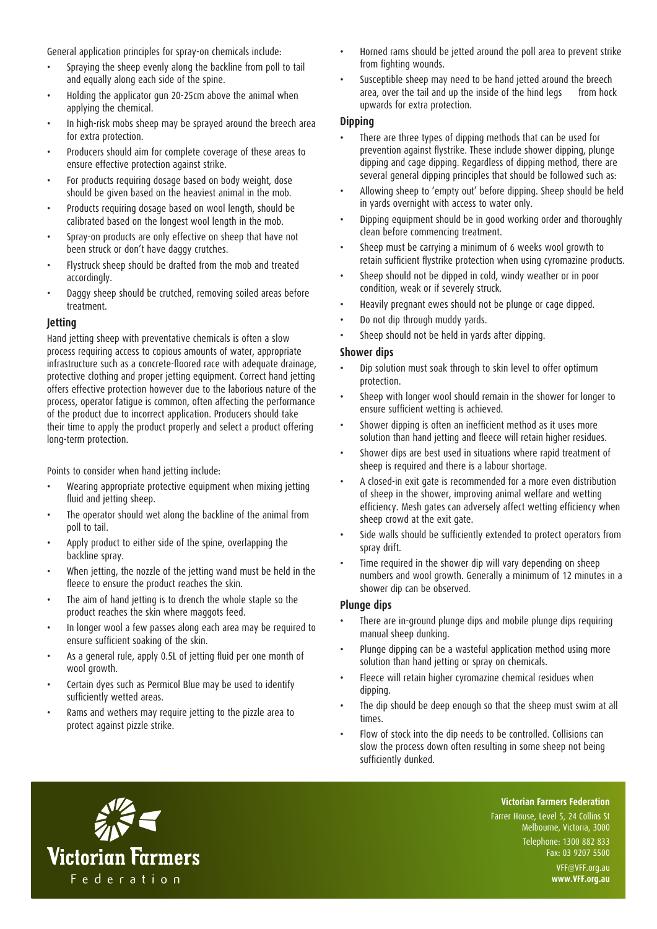General application principles for spray-on chemicals include:

- Spraying the sheep evenly along the backline from poll to tail and equally along each side of the spine.
- Holding the applicator gun 20-25cm above the animal when applying the chemical.
- In high-risk mobs sheep may be sprayed around the breech area for extra protection.
- Producers should aim for complete coverage of these areas to ensure effective protection against strike.
- For products requiring dosage based on body weight, dose should be given based on the heaviest animal in the mob.
- Products requiring dosage based on wool length, should be calibrated based on the longest wool length in the mob.
- Spray-on products are only effective on sheep that have not been struck or don't have daggy crutches.
- Flystruck sheep should be drafted from the mob and treated accordingly.
- Daggy sheep should be crutched, removing soiled areas before treatment.

#### **Jetting**

Hand jetting sheep with preventative chemicals is often a slow process requiring access to copious amounts of water, appropriate infrastructure such as a concrete-floored race with adequate drainage, protective clothing and proper jetting equipment. Correct hand jetting offers effective protection however due to the laborious nature of the process, operator fatigue is common, often affecting the performance of the product due to incorrect application. Producers should take their time to apply the product properly and select a product offering long-term protection.

Points to consider when hand jetting include:

- Wearing appropriate protective equipment when mixing jetting fluid and jetting sheep.
- The operator should wet along the backline of the animal from poll to tail.
- Apply product to either side of the spine, overlapping the backline spray.
- When jetting, the nozzle of the jetting wand must be held in the fleece to ensure the product reaches the skin.
- The aim of hand jetting is to drench the whole staple so the product reaches the skin where maggots feed.
- In longer wool a few passes along each area may be required to ensure sufficient soaking of the skin.
- As a general rule, apply 0.5L of jetting fluid per one month of wool growth.
- Certain dyes such as Permicol Blue may be used to identify sufficiently wetted areas.
- Rams and wethers may require jetting to the pizzle area to protect against pizzle strike.
- Horned rams should be jetted around the poll area to prevent strike from fighting wounds.
- Susceptible sheep may need to be hand jetted around the breech area, over the tail and up the inside of the hind legs from hock upwards for extra protection.

#### **Dipping**

- There are three types of dipping methods that can be used for prevention against flystrike. These include shower dipping, plunge dipping and cage dipping. Regardless of dipping method, there are several general dipping principles that should be followed such as:
- Allowing sheep to 'empty out' before dipping. Sheep should be held in yards overnight with access to water only.
- Dipping equipment should be in good working order and thoroughly clean before commencing treatment.
- Sheep must be carrying a minimum of 6 weeks wool growth to retain sufficient flystrike protection when using cyromazine products.
- Sheep should not be dipped in cold, windy weather or in poor condition, weak or if severely struck.
- Heavily pregnant ewes should not be plunge or cage dipped.
- Do not dip through muddy yards.
- Sheep should not be held in yards after dipping.

#### **Shower dips**

- Dip solution must soak through to skin level to offer optimum protection.
- Sheep with longer wool should remain in the shower for longer to ensure sufficient wetting is achieved.
- Shower dipping is often an inefficient method as it uses more solution than hand jetting and fleece will retain higher residues.
- Shower dips are best used in situations where rapid treatment of sheep is required and there is a labour shortage.
- A closed-in exit gate is recommended for a more even distribution of sheep in the shower, improving animal welfare and wetting efficiency. Mesh gates can adversely affect wetting efficiency when sheep crowd at the exit gate.
- Side walls should be sufficiently extended to protect operators from spray drift.
- Time required in the shower dip will vary depending on sheep numbers and wool growth. Generally a minimum of 12 minutes in a shower dip can be observed.

#### **Plunge dips**

- There are in-ground plunge dips and mobile plunge dips requiring manual sheep dunking.
- Plunge dipping can be a wasteful application method using more solution than hand jetting or spray on chemicals.
- Fleece will retain higher cyromazine chemical residues when dipping.
- The dip should be deep enough so that the sheep must swim at all times.
- Flow of stock into the dip needs to be controlled. Collisions can slow the process down often resulting in some sheep not being sufficiently dunked.



**Victorian Farmers Federation**

Farrer House, Level 5, 24 Collins St Melbourne, Victoria, 3000 Telephone: 1300 882 833 Fax: 03 9207 5500 VFF@VFF.org.au

**www.VFF.org.au**